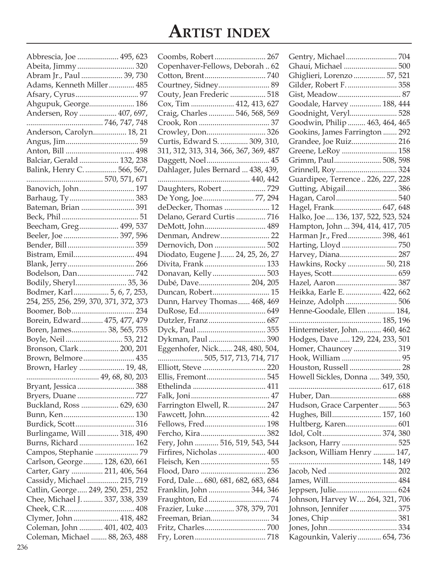# **Artist index**

| Abbrescia, Joe  495, 623               |  |
|----------------------------------------|--|
| Abeita, Jimmy  320                     |  |
| Abram Jr., Paul  39, 730               |  |
| Adams, Kenneth Miller 485              |  |
|                                        |  |
| Ahgupuk, George 186                    |  |
| Andersen, Roy  407, 697,               |  |
|                                        |  |
| Anderson, Carolyn 18, 21               |  |
|                                        |  |
|                                        |  |
| Balciar, Gerald  132, 238              |  |
| Balink, Henry C.  566, 567,            |  |
|                                        |  |
| Banovich, John 197                     |  |
|                                        |  |
| Bateman, Brian  391                    |  |
|                                        |  |
| Beecham, Greg 499, 537                 |  |
| Beeler, Joe  397, 596                  |  |
|                                        |  |
| Bistram, Emil 494                      |  |
|                                        |  |
| Bodelson, Dan 742                      |  |
| Bodily, Sheryl 35, 36                  |  |
| Bodmer, Karl 5, 6, 7, 253,             |  |
| 254, 255, 256, 259, 370, 371, 372, 373 |  |
|                                        |  |
| Borein, Edward 475, 477, 479           |  |
| Boren, James 38, 565, 735              |  |
| Boyle, Neil 53, 212                    |  |
| Bronson, Clark 200, 201                |  |
| Brown, Belmore 435                     |  |
| Brown, Harley  19, 48,                 |  |
|                                        |  |
| Bryant, Jessica  388                   |  |
|                                        |  |
| Buckland, Ross  629, 630               |  |
|                                        |  |
| Burdick, Scott 316                     |  |
| Burlingame, Will  318, 490             |  |
| Burns, Richard  162                    |  |
| Campos, Stephanie 79                   |  |
| Carlson, George 128, 620, 661          |  |
| Carter, Gary  211, 406, 564            |  |
| Cassidy, Michael  215, 719             |  |
| Catlin, George 249, 250, 251, 252      |  |
| Chee, Michael J.  337, 338, 339        |  |
|                                        |  |
| Clymer, John  418, 482                 |  |
| Coleman, John  401, 402, 403           |  |
| Coleman, Michael  88, 263, 488         |  |
|                                        |  |

| Coombs, Robert 267                     |    |
|----------------------------------------|----|
| Copenhaver-Fellows, Deborah 62         |    |
|                                        |    |
| Courtney, Sidney 89                    |    |
| Couty, Jean Frederic  518              |    |
| Cox, Tim  412, 413, 627                |    |
|                                        |    |
| Craig, Charles  546, 568, 569          |    |
|                                        |    |
| Crowley, Don 326                       |    |
| Curtis, Edward S.  309, 310,           |    |
| 311, 312, 313, 314, 366, 367, 369, 487 |    |
| Daggett, Noel 45                       |    |
| Dahlager, Jules Bernard  438, 439,     |    |
|                                        |    |
| Daughters, Robert 729                  |    |
| De Yong, Joe 77, 294                   |    |
| deDecker, Thomas  12                   |    |
| Delano, Gerard Curtis  716             |    |
| DeMott, John 489                       |    |
|                                        |    |
| Dernovich, Don  502                    |    |
| Diodato, Eugene J 24, 25, 26, 27       |    |
|                                        |    |
| Divita, Frank  133                     |    |
| Donavan, Kelly 503                     |    |
| Dubé, Dave 204, 205                    |    |
| Duncan, Robert 15                      |    |
| Dunn, Harvey Thomas 468, 469           |    |
|                                        |    |
|                                        |    |
|                                        |    |
| Dykman, Paul  390                      |    |
| Eggenhofer, Nick 248, 480, 504,        |    |
| 505, 517, 713, 714, 717                |    |
| Elliott, Steve  220                    |    |
| Ellis <i>,</i> Fremont 545             |    |
|                                        |    |
|                                        |    |
| Farrington Elwell, R 247               |    |
| Fawcett, John 42                       |    |
| Fellows, Fred 198                      |    |
|                                        |    |
|                                        |    |
| Fery, John  516, 519, 543, 544         |    |
| Firfires, Nicholas  400                |    |
|                                        |    |
| Flood, Daro  236                       |    |
| Ford, Dale 680, 681, 682, 683, 684     |    |
| Franklin, John  344, 346               |    |
|                                        | 74 |
| Frazier, Luke  378, 379, 701           |    |
| Freeman, Brian 34                      |    |
|                                        |    |
|                                        |    |
|                                        |    |

| Ghaui, Michael  500                 |  |
|-------------------------------------|--|
| Ghiglieri, Lorenzo  57, 521         |  |
| Gilder, Robert F.  358              |  |
|                                     |  |
| Goodale, Harvey  188, 444           |  |
| Goodnight, Veryl 528                |  |
| Goodwin, Philip  463, 464, 465      |  |
| Gookins, James Farrington  292      |  |
| Grandee, Joe Ruiz 216               |  |
| Greene, LeRoy  158                  |  |
| Grimm, Paul 508, 598                |  |
|                                     |  |
| Guardipee, Terrence  226, 227, 228  |  |
| Gutting, Abigail 386                |  |
| Hagan, Carol 540                    |  |
|                                     |  |
| Hagel, Frank 647, 648               |  |
| Halko, Joe  136, 137, 522, 523, 524 |  |
| Hampton, John  394, 414, 417, 705   |  |
| Harman Jr., Fred 398, 461           |  |
|                                     |  |
| Harvey, Diana 287                   |  |
| Hawkins, Rocky  50, 218             |  |
|                                     |  |
| Hazel, Aaron 387                    |  |
| Heikka, Earle E.  422, 662          |  |
| Heinze, Adolph  506                 |  |
| Henne-Goodale, Ellen  184,          |  |
|                                     |  |
| Hintermeister, John 460, 462        |  |
| Hodges, Dave  129, 224, 233, 501    |  |
| Homer, Chauncey  319                |  |
|                                     |  |
| Houston, Russell  28                |  |
| Howell Sickles, Donna  349, 350,    |  |
|                                     |  |
|                                     |  |
| Hudson, Grace Carpenter 563         |  |
| Hughes, Bill 157, 160               |  |
| Hultberg, Karen 601                 |  |
|                                     |  |
| Jackson, Harry  525                 |  |
| Jackson, William Henry  147,        |  |
|                                     |  |
|                                     |  |
|                                     |  |
| Jeppsen, Julie 624                  |  |
| Johnson, Harvey W 264, 321, 706     |  |
| Johnson, Jennifer  375              |  |
|                                     |  |
|                                     |  |
|                                     |  |
| Kagounkin, Valeriy 654, 736         |  |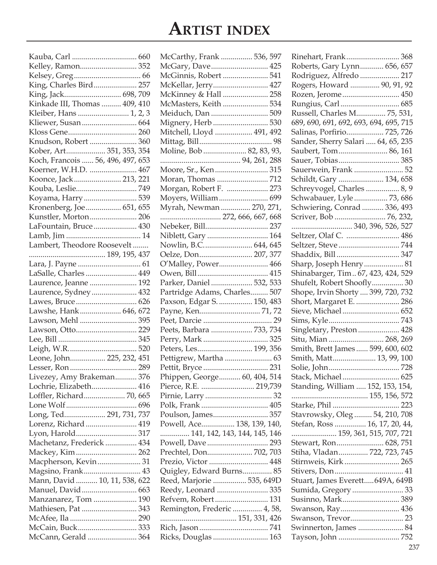# **Artist index**

| Kelley, Ramon 352                               |  |
|-------------------------------------------------|--|
|                                                 |  |
| King, Charles Bird 257                          |  |
| King, Jack 698, 709                             |  |
| Kinkade III, Thomas  409, 410                   |  |
| Kleiber, Hans  1, 2, 3                          |  |
| Kliewer, Susan 664                              |  |
|                                                 |  |
| Knudson, Robert  360                            |  |
| Kober, Art 351, 353, 354                        |  |
| Koch, Francois  56, 496, 497, 653               |  |
| Koerner, W.H.D.  467                            |  |
| Koonce, Jack 213, 221                           |  |
|                                                 |  |
| Koyama, Harry  539                              |  |
| Kronenberg, Joe 651, 655                        |  |
| Kunstler, Morton 206                            |  |
| LaFountain, Bruce 430                           |  |
|                                                 |  |
| Lambert, Theodore Roosevelt                     |  |
|                                                 |  |
|                                                 |  |
| LaSalle, Charles  449                           |  |
| Laurence, Jeanne  192                           |  |
| Laurence, Sydney 432                            |  |
| Lawes, Bruce 626                                |  |
| Lawshe, Hank 646, 672                           |  |
|                                                 |  |
|                                                 |  |
|                                                 |  |
|                                                 |  |
| Leone, John 225, 232, 451                       |  |
|                                                 |  |
| Livezey, Amy Brakeman 376                       |  |
| Lochrie, Elizabeth 416                          |  |
| Loffler, Richard 70, 665                        |  |
|                                                 |  |
|                                                 |  |
| Long, Ted 291, 731, 737<br>Lorenz, Richard  419 |  |
|                                                 |  |
|                                                 |  |
| Machetanz, Frederick  434                       |  |
| Mackey, Kim 262                                 |  |
| Macpherson, Kevin 31                            |  |
| Magsino, Frank 43                               |  |
| Mann, David  10, 11, 538, 622                   |  |
| Manuel, David 663                               |  |
| Manzanarez, Tom  190                            |  |
| Mathiesen, Pat  343                             |  |
|                                                 |  |
| McCain, Buck 333                                |  |
| McCann, Gerald  364                             |  |

| McCarthy, Frank  536, 597    |  |
|------------------------------|--|
| McGary, Dave 425             |  |
| McGinnis, Robert  541        |  |
| McKellar, Jerry 427          |  |
| McKinney & Hall  258         |  |
| McMasters, Keith  534        |  |
| Meiduch, Dan  509            |  |
| Mignery, Herb  530           |  |
| Mitchell, Lloyd  491, 492    |  |
|                              |  |
| Moline, Bob  82, 83, 93,     |  |
|                              |  |
|                              |  |
|                              |  |
| Morgan, Robert F.  273       |  |
| Moyers, William 699          |  |
| Myrah, Newman  270, 271,     |  |
| 272, 666, 667, 668           |  |
| Nebeker, Bill 237            |  |
| Niblett, Gary  164           |  |
| Nowlin, B.C 644, 645         |  |
| Oelze, Don 207, 377          |  |
| O'Malley, Power 466          |  |
|                              |  |
| Parker, Daniel  532, 533     |  |
| Partridge Adams, Charles 507 |  |
| Paxson, Edgar S.  150, 483   |  |
| Payne, Ken71,72              |  |
|                              |  |
| Peets, Barbara  733, 734     |  |
|                              |  |
| Peters, Les 199, 356         |  |
|                              |  |
|                              |  |
|                              |  |
| Phippen, George 60, 404, 514 |  |
| Pierce, R.E.  219,739        |  |
|                              |  |
|                              |  |
| Poulson, James 357           |  |
| Powell, Ace 138, 139, 140,   |  |
| 141, 142, 143, 144, 145, 146 |  |
|                              |  |
|                              |  |
| Prechtel, Don 702, 703       |  |
| Prezio, Victor  448          |  |
| Quigley, Edward Burns 85     |  |
| Reed, Marjorie  535, 649D    |  |
| Reedy, Leonard  335          |  |
| Refvem, Robert 131           |  |
| Remington, Frederic  4, 58,  |  |
|                              |  |
| Ricks, Douglas  163          |  |

| Rinehart, Frank 368                    |  |
|----------------------------------------|--|
| Roberts, Gary Lynn 656, 657            |  |
| Rodriguez, Alfredo  217                |  |
| Rogers, Howard  90, 91, 92             |  |
| Rozen, Jerome  450                     |  |
| Rungius, Carl  685                     |  |
| Russell, Charles M 75, 531,            |  |
| 689, 690, 691, 692, 693, 694, 695, 715 |  |
| Salinas, Porfirio 725, 726             |  |
| Sander, Sherry Salari  64, 65, 235     |  |
| Saubert, Tom 86, 161                   |  |
| Sauer, Tobias 385                      |  |
| Sauerwein, Frank  52                   |  |
| Schildt, Gary  134, 658                |  |
| Schreyvogel, Charles  8, 9             |  |
| Schwabauer, Lyle  73, 686              |  |
| Schwiering, Conrad  336, 493           |  |
| Scriver, Bob  76, 232,                 |  |
|                                        |  |
| Seltzer, Olaf C.  486                  |  |
|                                        |  |
|                                        |  |
| Sharp, Joseph Henry 81                 |  |
| Shinabarger, Tim 67, 423, 424, 529     |  |
| Shufelt, Robert Shoofly 30             |  |
| Shope, Irvin Shorty  399, 720, 732     |  |
| Short, Margaret E.  286                |  |
| Sieve, Michael 652                     |  |
|                                        |  |
| Singletary, Preston 428                |  |
| Situ, Mian  268, 269                   |  |
| Smith, Brett James  599, 600, 602      |  |
| Smith, Matt 13, 99, 100                |  |
|                                        |  |
|                                        |  |
| Stack, Michael  625                    |  |
| Standing, William  152, 153, 154,      |  |
|                                        |  |
|                                        |  |
| Stavrowsky, Oleg  54, 210, 708         |  |
| Stefan, Ross  16, 17, 20, 44,          |  |
| 159, 361, 515, 707, 721                |  |
| Stewart, Ron 628, 751                  |  |
| Stiha, Vladan 722, 723, 745            |  |
| Stirnweis <i>,</i> Kirk  265           |  |
|                                        |  |
| Stuart, James Everett649A, 649B        |  |
| Sumida, Gregory  33                    |  |
| Susinno, Mark 389                      |  |
| Swanson, Ray 436                       |  |
|                                        |  |
| Swinnerton, James  84                  |  |
|                                        |  |